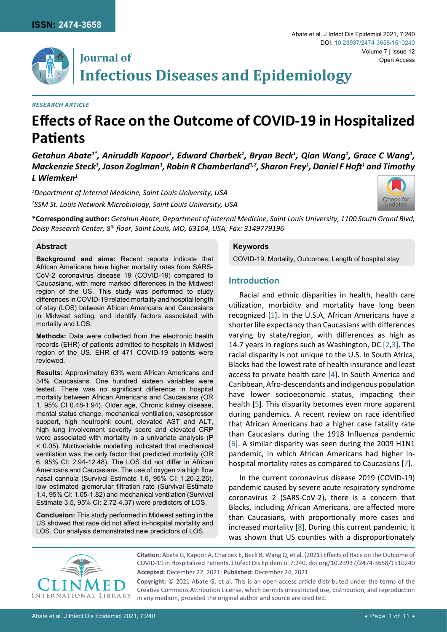

## **Journal of Infectious Diseases and Epidemiology**

#### *Research Article*

# **Effects of Race on the Outcome of COVID-19 in Hospitalized Patients**

Getahun Abate<sup>1\*</sup>, Aniruddh Kapoor<sup>1</sup>, Edward Charbek<sup>1</sup>, Bryan Beck<sup>1</sup>, Qian Wang<sup>1</sup>, Grace C Wang<sup>1</sup>,  $\bm{\mathsf{Mackenzie\hspace{1pt}Step^{1}},}$  Jason Zoglman $^{1}$ , Robin R Chamberland $^{1,2}$ , Sharon Frey $^{1}$ , Daniel F Hoft $^{1}$  and Timothy *L Wiemken1*

*1 Department of Internal Medicine, Saint Louis University, USA* <sup>2</sup> **SSM St. Louis Network Microbiology, Saint Louis University, USA** [Check for](http://crossmark.crossref.org/dialog/?doi=10.23937/2474-3658/1510240&domain=pdf) Check for Check for Check for Check for Check for Check for Check for Check for Check for Check for Check for Check for Check for Check for Ch



**\*Corresponding author:** *Getahun Abate, Department of Internal Medicine, Saint Louis University, 1100 South Grand Blvd, Doisy Research Center, 8th floor, Saint Louis, MO, 63104, USA, Fax: 3149779196*

#### **Abstract**

**Background and aims:** Recent reports indicate that African Americans have higher mortality rates from SARS-CoV-2 coronavirus disease 19 (COVID-19) compared to Caucasians, with more marked differences in the Midwest region of the US. This study was performed to study differences in COVID-19 related mortality and hospital length of stay (LOS) between African Americans and Caucasians in Midwest setting, and identify factors associated with mortality and LOS.

**Methods:** Data were collected from the electronic health records (EHR) of patients admitted to hospitals in Midwest region of the US. EHR of 471 COVID-19 patients were reviewed.

**Results:** Approximately 63% were African Americans and 34% Caucasians. One hundred sixteen variables were tested. There was no significant difference in hospital mortality between African Americans and Caucasians (OR 1, 95% CI 0.48-1.94). Older age, Chronic kidney disease, mental status change, mechanical ventilation, vasopressor support, high neutrophil count, elevated AST and ALT, high lung involvement severity score and elevated CRP were associated with mortality in a univariate analysis (P < 0.05). Multivariable modelling indicated that mechanical ventilation was the only factor that predicted mortality (OR 6, 95% CI: 2.94-12.48). The LOS did not differ in African Americans and Caucasians. The use of oxygen via high flow nasal cannula (Survival Estimate 1.6, 95% CI: 1.20-2.26), low estimated glomerular filtration rate (Survival Estimate 1.4, 95% CI: 1.05-1.82) and mechanical ventilation (Survival Estimate 3.5, 95% CI: 2.72-4.37) were predictors of LOS.

**Conclusion:** This study performed in Midwest setting in the US showed that race did not affect in-hospital mortality and LOS. Our analysis demonstrated new predictors of LOS.

#### **Keywords**

COVID-19, Mortality, Outcomes, Length of hospital stay

#### **Introduction**

Racial and ethnic disparities in health, health care utilization, morbidity and mortality have long been recognized [[1](#page-9-0)]. In the U.S.A, African Americans have a shorter life expectancy than Caucasians with differences varying by state/region, with differences as high as 14.7 years in regions such as Washington, DC [[2](#page-9-1),[3](#page-9-1)]. The racial disparity is not unique to the U.S. In South Africa, Blacks had the lowest rate of health insurance and least access to private health care [[4](#page-9-2)]. In South America and Caribbean, Afro-descendants and indigenous population have lower socioeconomic status, impacting their health [[5](#page-9-3)]. This disparity becomes even more apparent during pandemics. A recent review on race identified that African Americans had a higher case fatality rate than Caucasians during the 1918 Influenza pandemic [\[6\]](#page-9-4). A similar disparity was seen during the 2009 H1N1 pandemic, in which African Americans had higher inhospital mortality rates as compared to Caucasians [\[7](#page-9-5)].

In the current coronavirus disease 2019 (COVID-19) pandemic caused by severe acute respiratory syndrome coronavirus 2 (SARS-CoV-2), there is a concern that Blacks, including African Americans, are affected more than Caucasians, with proportionally more cases and increased mortality [[8](#page-9-6)]. During this current pandemic, it was shown that US counties with a disproportionately



**Citation:** Abate G, Kapoor A, Charbek E, Beck B, Wang Q, et al. (2021) Effects of Race on the Outcome of COVID-19 in Hospitalized Patients. J Infect Dis Epidemiol 7:240. [doi.org/10.23937/2474-3658/1510240](https://doi.org/10.23937/2474-3658/1510240) **Accepted:** December 22, 2021: **Published:** December 24, 2021

**Copyright:** © 2021 Abate G, et al. This is an open-access article distributed under the terms of the Creative Commons Attribution License, which permits unrestricted use, distribution, and reproduction in any medium, provided the original author and source are credited.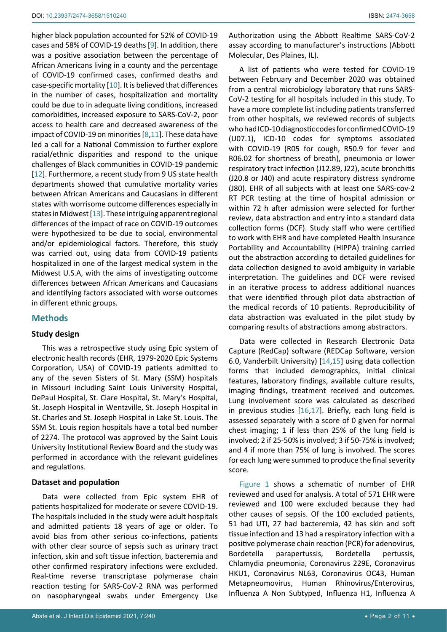higher black population accounted for 52% of COVID-19 cases and 58% of COVID-19 deaths [\[9\]](#page-9-7). In addition, there was a positive association between the percentage of African Americans living in a county and the percentage of COVID-19 confirmed cases, confirmed deaths and case-specific mortality [[10](#page-9-8)]. It is believed that differences in the number of cases, hospitalization and mortality could be due to in adequate living conditions, increased comorbidities, increased exposure to SARS-CoV-2, poor access to health care and decreased awareness of the impact of COVID-19 on minorities [[8](#page-9-6),[11](#page-9-9)]. These data have led a call for a National Commission to further explore racial/ethnic disparities and respond to the unique challenges of Black communities in COVID-19 pandemic [[12](#page-9-10)]. Furthermore, a recent study from 9 US state health departments showed that cumulative mortality varies between African Americans and Caucasians in different states with worrisome outcome differences especially in states in Midwest [[13\]](#page-9-11). These intriguing apparent regional differences of the impact of race on COVID-19 outcomes were hypothesized to be due to social, environmental and/or epidemiological factors. Therefore, this study was carried out, using data from COVID-19 patients hospitalized in one of the largest medical system in the Midwest U.S.A, with the aims of investigating outcome differences between African Americans and Caucasians and identifying factors associated with worse outcomes in different ethnic groups.

#### **Methods**

#### **Study design**

This was a retrospective study using Epic system of electronic health records (EHR, 1979-2020 Epic Systems Corporation, USA) of COVID-19 patients admitted to any of the seven Sisters of St. Mary (SSM) hospitals in Missouri including Saint Louis University Hospital, DePaul Hospital, St. Clare Hospital, St. Mary's Hospital, St. Joseph Hospital in Wentzville, St. Joseph Hospital in St. Charles and St. Joseph Hospital in Lake St. Louis. The SSM St. Louis region hospitals have a total bed number of 2274. The protocol was approved by the Saint Louis University Institutional Review Board and the study was performed in accordance with the relevant guidelines and regulations.

#### **Dataset and population**

Data were collected from Epic system EHR of patients hospitalized for moderate or severe COVID-19. The hospitals included in the study were adult hospitals and admitted patients 18 years of age or older. To avoid bias from other serious co-infections, patients with other clear source of sepsis such as urinary tract infection, skin and soft tissue infection, bacteremia and other confirmed respiratory infections were excluded. Real-time reverse transcriptase polymerase chain reaction testing for SARS-CoV-2 RNA was performed on nasopharyngeal swabs under Emergency Use Authorization using the Abbott Realtime SARS-CoV-2 assay according to manufacturer's instructions (Abbott Molecular, Des Plaines, IL).

A list of patients who were tested for COVID-19 between February and December 2020 was obtained from a central microbiology laboratory that runs SARS-CoV-2 testing for all hospitals included in this study. To have a more complete list including patients transferred from other hospitals, we reviewed records of subjects who had ICD-10 diagnostic codes for confirmed COVID-19 (U07.1), ICD-10 codes for symptoms associated with COVID-19 (R05 for cough, R50.9 for fever and R06.02 for shortness of breath), pneumonia or lower respiratory tract infection (J12.89, J22), acute bronchitis (J20.8 or J40) and acute respiratory distress syndrome (J80). EHR of all subjects with at least one SARS-cov-2 RT PCR testing at the time of hospital admission or within 72 h after admission were selected for further review, data abstraction and entry into a standard data collection forms (DCF). Study staff who were certified to work with EHR and have completed Health Insurance Portability and Accountability (HIPPA) training carried out the abstraction according to detailed guidelines for data collection designed to avoid ambiguity in variable interpretation. The guidelines and DCF were revised in an iterative process to address additional nuances that were identified through pilot data abstraction of the medical records of 10 patients. Reproducibility of data abstraction was evaluated in the pilot study by comparing results of abstractions among abstractors.

Data were collected in Research Electronic Data Capture (RedCap) software (REDCap Software, version 6.0, Vanderbilt University) [[14](#page-9-12),[15\]](#page-9-13) using data collection forms that included demographics, initial clinical features, laboratory findings, available culture results, imaging findings, treatment received and outcomes. Lung involvement score was calculated as described in previous studies [\[16](#page-9-14),[17](#page-9-15)]. Briefly, each lung field is assessed separately with a score of 0 given for normal chest imaging; 1 if less than 25% of the lung field is involved; 2 if 25-50% is involved; 3 if 50-75% is involved; and 4 if more than 75% of lung is involved. The scores for each lung were summed to produce the final severity score.

[Figure 1](#page-2-0) shows a schematic of number of EHR reviewed and used for analysis. A total of 571 EHR were reviewed and 100 were excluded because they had other causes of sepsis. Of the 100 excluded patients, 51 had UTI, 27 had bacteremia, 42 has skin and soft tissue infection and 13 had a respiratory infection with a positive polymerase chain reaction (PCR) for adenovirus, Bordetella parapertussis, Bordetella pertussis, Chlamydia pneumonia, Coronavirus 229E, Coronavirus HKU1, Coronavirus NL63, Coronavirus OC43, Human Metapneumovirus, Human Rhinovirus/Enterovirus, Influenza A Non Subtyped, Influenza H1, Influenza A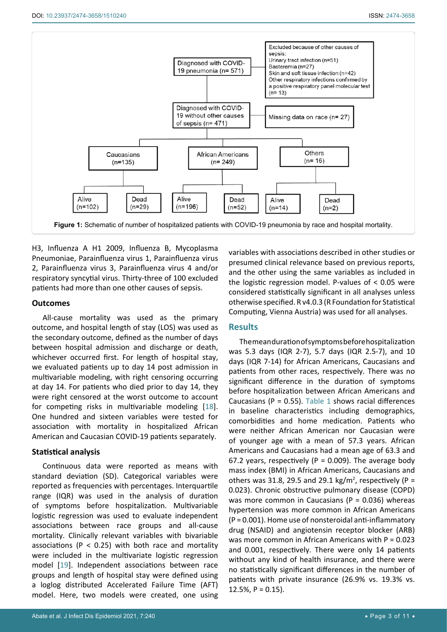<span id="page-2-0"></span>

H3, Influenza A H1 2009, Influenza B, Mycoplasma Pneumoniae, Parainfluenza virus 1, Parainfluenza virus 2, Parainfluenza virus 3, Parainfluenza virus 4 and/or respiratory syncytial virus. Thirty-three of 100 excluded patients had more than one other causes of sepsis.

#### **Outcomes**

All-cause mortality was used as the primary outcome, and hospital length of stay (LOS) was used as the secondary outcome, defined as the number of days between hospital admission and discharge or death, whichever occurred first. For length of hospital stay, we evaluated patients up to day 14 post admission in multivariable modeling, with right censoring occurring at day 14. For patients who died prior to day 14, they were right censored at the worst outcome to account for competing risks in multivariable modeling [\[18](#page-9-16)]. One hundred and sixteen variables were tested for association with mortality in hospitalized African American and Caucasian COVID-19 patients separately.

#### **Statistical analysis**

Continuous data were reported as means with standard deviation (SD). Categorical variables were reported as frequencies with percentages. Interquartile range (IQR) was used in the analysis of duration of symptoms before hospitalization. Multivariable logistic regression was used to evaluate independent associations between race groups and all-cause mortality. Clinically relevant variables with bivariable associations ( $P < 0.25$ ) with both race and mortality were included in the multivariate logistic regression model [[19](#page-9-17)]. Independent associations between race groups and length of hospital stay were defined using a loglog distributed Accelerated Failure Time (AFT) model. Here, two models were created, one using

variables with associations described in other studies or presumed clinical relevance based on previous reports, and the other using the same variables as included in the logistic regression model. P-values of < 0.05 were considered statistically significant in all analyses unless otherwise specified. R v4.0.3 (R Foundation for Statistical Computing, Vienna Austria) was used for all analyses.

#### **Results**

The mean duration of symptoms before hospitalization was 5.3 days (IQR 2-7), 5.7 days (IQR 2.5-7), and 10 days (IQR 7-14) for African Americans, Caucasians and patients from other races, respectively. There was no significant difference in the duration of symptoms before hospitalization between African Americans and Caucasians ( $P = 0.55$ ). [Table 1](#page-3-0) shows racial differences in baseline characteristics including demographics, comorbidities and home medication. Patients who were neither African American nor Caucasian were of younger age with a mean of 57.3 years. African Americans and Caucasians had a mean age of 63.3 and 67.2 years, respectively ( $P = 0.009$ ). The average body mass index (BMI) in African Americans, Caucasians and others was 31.8, 29.5 and 29.1 kg/m<sup>2</sup>, respectively (P = 0.023). Chronic obstructive pulmonary disease (COPD) was more common in Caucasians ( $P = 0.036$ ) whereas hypertension was more common in African Americans (P = 0.001). Home use of nonsteroidal anti-inflammatory drug (NSAID) and angiotensin receptor blocker (ARB) was more common in African Americans with P = 0.023 and 0.001, respectively. There were only 14 patients without any kind of health insurance, and there were no statistically significant differences in the number of patients with private insurance (26.9% vs. 19.3% vs. 12.5%,  $P = 0.15$ ).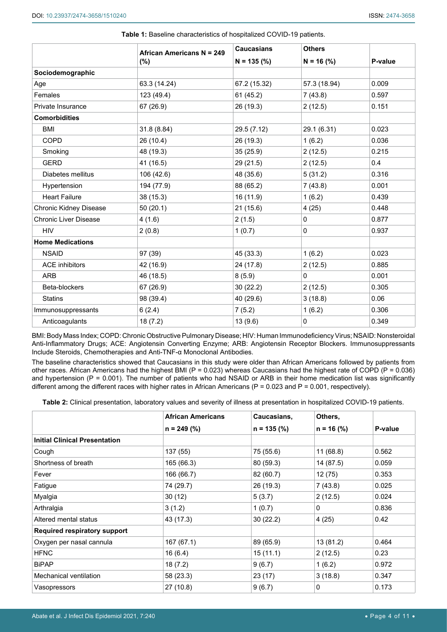|                                      | <b>African Americans N = 249</b> | <b>Caucasians</b> | <b>Others</b> |         |
|--------------------------------------|----------------------------------|-------------------|---------------|---------|
|                                      | $(\%)$                           | $N = 135$ (%)     | $N = 16$ (%)  | P-value |
| Sociodemographic                     |                                  |                   |               |         |
| Age                                  | 63.3 (14.24)                     | 67.2 (15.32)      | 57.3 (18.94)  | 0.009   |
| Females                              | 123 (49.4)                       | 61(45.2)          | 7(43.8)       | 0.597   |
| Private Insurance                    | 67 (26.9)                        | 26 (19.3)         | 2(12.5)       | 0.151   |
| <b>Comorbidities</b>                 |                                  |                   |               |         |
| <b>BMI</b>                           | 31.8 (8.84)                      | 29.5 (7.12)       | 29.1 (6.31)   | 0.023   |
| <b>COPD</b>                          | 26 (10.4)                        | 26 (19.3)         | 1(6.2)        | 0.036   |
| Smoking                              | 48 (19.3)                        | 35(25.9)          | 2(12.5)       | 0.215   |
| <b>GERD</b>                          | 41 (16.5)                        | 29 (21.5)         | 2(12.5)       | 0.4     |
| Diabetes mellitus                    | 106 (42.6)                       | 48 (35.6)         | 5(31.2)       | 0.316   |
| Hypertension                         | 194 (77.9)                       | 88 (65.2)         | 7(43.8)       | 0.001   |
| <b>Heart Failure</b>                 | 38 (15.3)                        | 16 (11.9)         | 1(6.2)        | 0.439   |
| <b>Chronic Kidney Disease</b>        | 50(20.1)                         | 21(15.6)          | 4(25)         | 0.448   |
| <b>Chronic Liver Disease</b>         | 4(1.6)                           | 2(1.5)            | $\Omega$      | 0.877   |
| <b>HIV</b>                           | 2(0.8)                           | 1(0.7)            | $\mathbf 0$   | 0.937   |
| <b>Home Medications</b>              |                                  |                   |               |         |
| <b>NSAID</b>                         | 97 (39)                          | 45 (33.3)         | 1(6.2)        | 0.023   |
| <b>ACE</b> inhibitors                | 42 (16.9)                        | 24 (17.8)         | 2(12.5)       | 0.885   |
| <b>ARB</b>                           | 46 (18.5)                        | 8(5.9)            | $\Omega$      | 0.001   |
| Beta-blockers                        | 67 (26.9)                        | 30(22.2)          | 2(12.5)       | 0.305   |
| <b>Statins</b>                       | 98 (39.4)                        | 40 (29.6)         | 3(18.8)       | 0.06    |
| Immunosuppressants                   | 6(2.4)                           | 7(5.2)            | 1(6.2)        | 0.306   |
| Anticoagulants<br>18(7.2)<br>13(9.6) |                                  |                   | $\Omega$      | 0.349   |

<span id="page-3-0"></span>**Table 1:** Baseline characteristics of hospitalized COVID-19 patients.

BMI: Body Mass Index; COPD: Chronic Obstructive Pulmonary Disease; HIV: Human Immunodeficiency Virus; NSAID: Nonsteroidal Anti-Inflammatory Drugs; ACE: Angiotensin Converting Enzyme; ARB: Angiotensin Receptor Blockers. Immunosuppressants Include Steroids, Chemotherapies and Anti-TNF-α Monoclonal Antibodies.

The baseline characteristics showed that Caucasians in this study were older than African Americans followed by patients from other races. African Americans had the highest BMI ( $P = 0.023$ ) whereas Caucasians had the highest rate of COPD ( $P = 0.036$ ) and hypertension ( $P = 0.001$ ). The number of patients who had NSAID or ARB in their home medication list was significantly different among the different races with higher rates in African Americans (P = 0.023 and P = 0.001, respectively).

<span id="page-3-1"></span>**Table 2:** Clinical presentation, laboratory values and severity of illness at presentation in hospitalized COVID-19 patients.

|                                      | <b>African Americans</b> | Caucasians,   | Others,      |         |
|--------------------------------------|--------------------------|---------------|--------------|---------|
|                                      | $n = 249$ (%)            | $n = 135$ (%) | $n = 16$ (%) | P-value |
| <b>Initial Clinical Presentation</b> |                          |               |              |         |
| Cough                                | 137 (55)                 | 75 (55.6)     | 11(68.8)     | 0.562   |
| Shortness of breath                  | 165 (66.3)               | 80 (59.3)     | 14 (87.5)    | 0.059   |
| Fever                                | 166 (66.7)               | 82 (60.7)     | 12 (75)      | 0.353   |
| Fatigue                              | 74 (29.7)                | 26 (19.3)     | 7(43.8)      | 0.025   |
| Myalgia                              | 30(12)                   | 5(3.7)        | 2(12.5)      | 0.024   |
| Arthralgia                           | 3(1.2)                   | 1(0.7)        | 0            | 0.836   |
| Altered mental status                | 43 (17.3)                | 30(22.2)      | 4(25)        | 0.42    |
| <b>Required respiratory support</b>  |                          |               |              |         |
| Oxygen per nasal cannula             | 167 (67.1)               | 89 (65.9)     | 13 (81.2)    | 0.464   |
| <b>HFNC</b>                          | 16(6.4)                  | 15(11.1)      | 2(12.5)      | 0.23    |
| <b>BiPAP</b>                         | 18 (7.2)                 | 9(6.7)        | 1(6.2)       | 0.972   |
| Mechanical ventilation               | 58 (23.3)                | 23 (17)       | 3(18.8)      | 0.347   |
| Vasopressors                         | 27 (10.8)                | 9(6.7)        | 0            | 0.173   |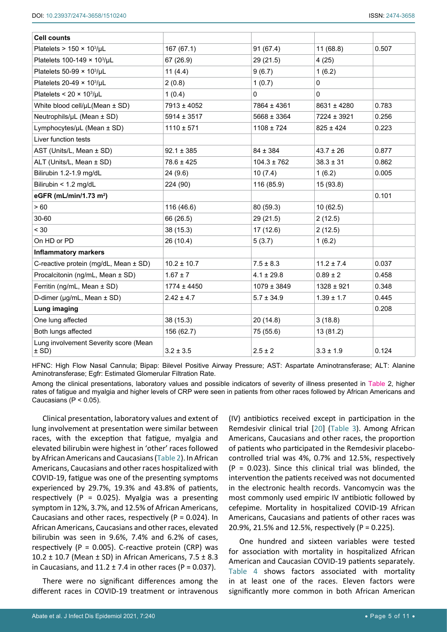| <b>Cell counts</b>                               |                 |                 |                 |       |
|--------------------------------------------------|-----------------|-----------------|-----------------|-------|
| Platelets > $150 \times 10^3/\mu L$              | 167 (67.1)      | 91(67.4)        | 11(68.8)        | 0.507 |
| Platelets 100-149 × 103/µL                       | 67 (26.9)       | 29 (21.5)       | 4(25)           |       |
| Platelets $50-99 \times 10^3/\mu L$              | 11(4.4)         | 9(6.7)          | 1(6.2)          |       |
| Platelets 20-49 $\times$ 10 <sup>3</sup> /µL     | 2(0.8)          | 1(0.7)          | $\mathbf 0$     |       |
| Platelets < $20 \times 10^3/\mu L$               | 1(0.4)          | $\Omega$        | $\Omega$        |       |
| White blood cell/µL(Mean ± SD)                   | 7913 ± 4052     | 7864 ± 4361     | $8631 \pm 4280$ | 0.783 |
| Neutrophils/µL (Mean ± SD)                       | $5914 \pm 3517$ | $5668 \pm 3364$ | 7224 ± 3921     | 0.256 |
| Lymphocytes/µL (Mean ± SD)                       | $1110 \pm 571$  | $1108 \pm 724$  | $825 \pm 424$   | 0.223 |
| Liver function tests                             |                 |                 |                 |       |
| AST (Units/L, Mean ± SD)                         | $92.1 \pm 385$  | $84 \pm 384$    | $43.7 \pm 26$   | 0.877 |
| ALT (Units/L, Mean ± SD)                         | $78.6 \pm 425$  | $104.3 \pm 762$ | $38.3 \pm 31$   | 0.862 |
| Bilirubin 1.2-1.9 mg/dL                          | 24 (9.6)        | 10(7.4)         | 1(6.2)          | 0.005 |
| Bilirubin < 1.2 mg/dL                            | 224 (90)        | 116 (85.9)      | 15 (93.8)       |       |
| eGFR (mL/min/1.73 m <sup>2</sup> )               |                 |                 |                 | 0.101 |
| > 60                                             | 116 (46.6)      | 80 (59.3)       | 10(62.5)        |       |
| 30-60                                            | 66 (26.5)       | 29 (21.5)       | 2(12.5)         |       |
| < 30                                             | 38 (15.3)       | 17(12.6)        | 2(12.5)         |       |
| On HD or PD                                      | 26 (10.4)       | 5(3.7)          | 1(6.2)          |       |
| <b>Inflammatory markers</b>                      |                 |                 |                 |       |
| C-reactive protein (mg/dL, Mean ± SD)            | $10.2 \pm 10.7$ | $7.5 \pm 8.3$   | $11.2 \pm 7.4$  | 0.037 |
| Procalcitonin (ng/mL, Mean ± SD)                 | $1.67 \pm 7$    | $4.1 \pm 29.8$  | $0.89 \pm 2$    | 0.458 |
| Ferritin (ng/mL, Mean ± SD)                      | $1774 \pm 4450$ | $1079 \pm 3849$ | $1328 \pm 921$  | 0.348 |
| D-dimer (µg/mL, Mean ± SD)                       | $2.42 \pm 4.7$  | $5.7 \pm 34.9$  | $1.39 \pm 1.7$  | 0.445 |
| Lung imaging                                     |                 |                 |                 | 0.208 |
| One lung affected                                | 38 (15.3)       | 20(14.8)        | 3(18.8)         |       |
| Both lungs affected                              | 156 (62.7)      | 75 (55.6)       | 13 (81.2)       |       |
| Lung involvement Severity score (Mean<br>$±$ SD) | $3.2 \pm 3.5$   | $2.5 \pm 2$     | $3.3 \pm 1.9$   | 0.124 |

HFNC: High Flow Nasal Cannula; Bipap: Bilevel Positive Airway Pressure; AST: Aspartate Aminotransferase; ALT: Alanine Aminotransferase; Egfr: Estimated Glomerular Filtration Rate.

Among the clinical presentations, laboratory values and possible indicators of severity of illness presented in Table 2, higher rates of fatigue and myalgia and higher levels of CRP were seen in patients from other races followed by African Americans and Caucasians ( $P < 0.05$ ).

Clinical presentation, laboratory values and extent of lung involvement at presentation were similar between races, with the exception that fatigue, myalgia and elevated bilirubin were highest in 'other' races followed by African Americans and Caucasians ([Table 2](#page-3-1)). In African Americans, Caucasians and other races hospitalized with COVID-19, fatigue was one of the presenting symptoms experienced by 29.7%, 19.3% and 43.8% of patients, respectively ( $P = 0.025$ ). Myalgia was a presenting symptom in 12%, 3.7%, and 12.5% of African Americans, Caucasians and other races, respectively ( $P = 0.024$ ). In African Americans, Caucasians and other races, elevated bilirubin was seen in 9.6%, 7.4% and 6.2% of cases, respectively (P =  $0.005$ ). C-reactive protein (CRP) was 10.2 ± 10.7 (Mean ± SD) in African Americans, 7.5 ± 8.3 in Caucasians, and  $11.2 \pm 7.4$  in other races (P = 0.037).

There were no significant differences among the different races in COVID-19 treatment or intravenous

(IV) antibiotics received except in participation in the Remdesivir clinical trial [[20\]](#page-10-0) ([Table 3\)](#page-5-0). Among African Americans, Caucasians and other races, the proportion of patients who participated in the Remdesivir placebocontrolled trial was 4%, 0.7% and 12.5%, respectively  $(P = 0.023)$ . Since this clinical trial was blinded, the intervention the patients received was not documented in the electronic health records. Vancomycin was the most commonly used empiric IV antibiotic followed by cefepime. Mortality in hospitalized COVID-19 African Americans, Caucasians and patients of other races was 20.9%, 21.5% and 12.5%, respectively (P = 0.225).

One hundred and sixteen variables were tested for association with mortality in hospitalized African American and Caucasian COVID-19 patients separately. [Table 4](#page-5-1) shows factors associated with mortality in at least one of the races. Eleven factors were significantly more common in both African American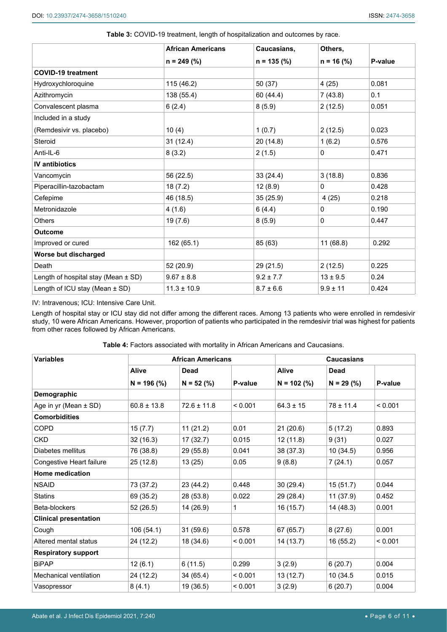|                                     | <b>African Americans</b> | Caucasians,   | Others,      |         |  |
|-------------------------------------|--------------------------|---------------|--------------|---------|--|
|                                     | $n = 249$ (%)            | $n = 135$ (%) | $n = 16$ (%) | P-value |  |
| <b>COVID-19 treatment</b>           |                          |               |              |         |  |
| Hydroxychloroquine                  | 115 (46.2)               | 50 (37)       | 4(25)        | 0.081   |  |
| Azithromycin                        | 138 (55.4)               | 60 (44.4)     | 7(43.8)      | 0.1     |  |
| Convalescent plasma                 | 6(2.4)                   | 8(5.9)        | 2(12.5)      | 0.051   |  |
| Included in a study                 |                          |               |              |         |  |
| (Remdesivir vs. placebo)            | 10(4)                    | 1(0.7)        | 2(12.5)      | 0.023   |  |
| Steroid                             | 31(12.4)                 | 20(14.8)      | 1(6.2)       | 0.576   |  |
| Anti-IL-6                           | 8(3.2)                   | 2(1.5)        | $\mathbf{0}$ | 0.471   |  |
| <b>IV</b> antibiotics               |                          |               |              |         |  |
| Vancomycin                          | 56 (22.5)                | 33(24.4)      | 3(18.8)      | 0.836   |  |
| Piperacillin-tazobactam             | 18(7.2)                  | 12(8.9)       | 0            | 0.428   |  |
| Cefepime                            | 46 (18.5)                | 35(25.9)      | 4(25)        | 0.218   |  |
| Metronidazole                       | 4(1.6)                   | 6(4.4)        | 0            | 0.190   |  |
| <b>Others</b>                       | 19 (7.6)                 | 8(5.9)        | $\mathbf{0}$ | 0.447   |  |
| <b>Outcome</b>                      |                          |               |              |         |  |
| Improved or cured                   | 162 (65.1)               | 85 (63)       | 11(68.8)     | 0.292   |  |
| Worse but discharged                |                          |               |              |         |  |
| Death                               | 52 (20.9)                | 29(21.5)      | 2(12.5)      | 0.225   |  |
| Length of hospital stay (Mean ± SD) | $9.67 \pm 8.8$           | $9.2 \pm 7.7$ | $13 \pm 9.5$ | 0.24    |  |
| Length of ICU stay (Mean $\pm$ SD)  | $11.3 \pm 10.9$          | $8.7 \pm 6.6$ | $9.9 \pm 11$ | 0.424   |  |

<span id="page-5-0"></span>

|  | Table 3: COVID-19 treatment, length of hospitalization and outcomes by race. |  |
|--|------------------------------------------------------------------------------|--|
|--|------------------------------------------------------------------------------|--|

IV: Intravenous; ICU: Intensive Care Unit.

Length of hospital stay or ICU stay did not differ among the different races. Among 13 patients who were enrolled in remdesivir study, 10 were African Americans. However, proportion of patients who participated in the remdesivir trial was highest for patients from other races followed by African Americans.

<span id="page-5-1"></span>

| <b>Table 4: Factors associated with mortality in African Americans and Caucasians.</b> |  |
|----------------------------------------------------------------------------------------|--|
|----------------------------------------------------------------------------------------|--|

| <b>Variables</b>             |                 | <b>African Americans</b> |         |               | <b>Caucasians</b> |         |  |
|------------------------------|-----------------|--------------------------|---------|---------------|-------------------|---------|--|
|                              | <b>Alive</b>    | <b>Dead</b>              |         | <b>Alive</b>  | <b>Dead</b>       |         |  |
|                              | $N = 196$ (%)   | $N = 52$ (%)             | P-value | $N = 102$ (%) | $N = 29$ (%)      | P-value |  |
| Demographic                  |                 |                          |         |               |                   |         |  |
| Age in yr (Mean $\pm$ SD)    | $60.8 \pm 13.8$ | $72.6 \pm 11.8$          | < 0.001 | $64.3 \pm 15$ | $78 \pm 11.4$     | < 0.001 |  |
| <b>Comorbidities</b>         |                 |                          |         |               |                   |         |  |
| COPD                         | 15(7.7)         | 11(21.2)                 | 0.01    | 21(20.6)      | 5(17.2)           | 0.893   |  |
| <b>CKD</b>                   | 32(16.3)        | 17(32.7)                 | 0.015   | 12(11.8)      | 9(31)             | 0.027   |  |
| Diabetes mellitus            | 76 (38.8)       | 29 (55.8)                | 0.041   | 38 (37.3)     | 10(34.5)          | 0.956   |  |
| Congestive Heart failure     | 25(12.8)        | 13(25)                   | 0.05    | 9(8.8)        | 7(24.1)           | 0.057   |  |
| <b>Home medication</b>       |                 |                          |         |               |                   |         |  |
| <b>NSAID</b>                 | 73 (37.2)       | 23 (44.2)                | 0.448   | 30(29.4)      | 15(51.7)          | 0.044   |  |
| <b>Statins</b>               | 69 (35.2)       | 28 (53.8)                | 0.022   | 29 (28.4)     | 11(37.9)          | 0.452   |  |
| Beta-blockers                | 52(26.5)        | 14 (26.9)                | 1       | 16(15.7)      | 14(48.3)          | 0.001   |  |
| <b>Clinical presentation</b> |                 |                          |         |               |                   |         |  |
| Cough                        | 106(54.1)       | 31(59.6)                 | 0.578   | 67 (65.7)     | 8(27.6)           | 0.001   |  |
| Altered mental status        | 24 (12.2)       | 18 (34.6)                | < 0.001 | 14 (13.7)     | 16(55.2)          | < 0.001 |  |
| <b>Respiratory support</b>   |                 |                          |         |               |                   |         |  |
| <b>BiPAP</b>                 | 12(6.1)         | 6(11.5)                  | 0.299   | 3(2.9)        | 6(20.7)           | 0.004   |  |
| Mechanical ventilation       | 24 (12.2)       | 34(65.4)                 | < 0.001 | 13 (12.7)     | 10 (34.5)         | 0.015   |  |
| Vasopressor                  | 8(4.1)          | 19 (36.5)                | < 0.001 | 3(2.9)        | 6(20.7)           | 0.004   |  |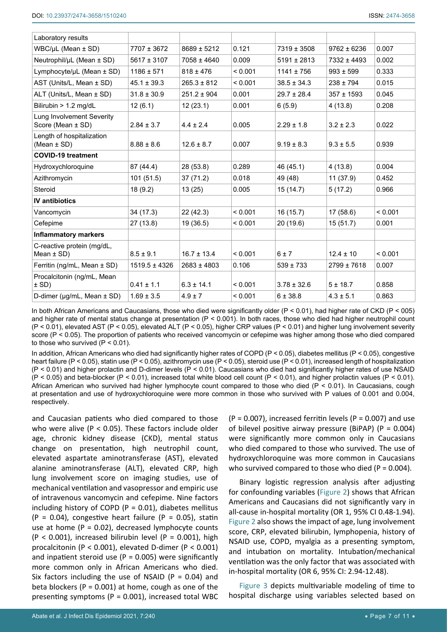| Laboratory results                                    |                   |                 |         |                 |                 |         |
|-------------------------------------------------------|-------------------|-----------------|---------|-----------------|-----------------|---------|
| $WBC/\mu L$ (Mean $\pm$ SD)                           | 7707 ± 3672       | $8689 \pm 5212$ | 0.121   | $7319 \pm 3508$ | $9762 \pm 6236$ | 0.007   |
| Neutrophil/µL (Mean ± SD)                             | $5617 \pm 3107$   | 7058 ± 4640     | 0.009   | $5191 \pm 2813$ | 7332 ± 4493     | 0.002   |
| Lymphocyte/µL (Mean ± SD)                             | $1186 \pm 571$    | $818 \pm 476$   | < 0.001 | $1141 \pm 756$  | $993 \pm 599$   | 0.333   |
| AST (Units/L, Mean ± SD)                              | $45.1 \pm 39.3$   | $265.3 \pm 812$ | < 0.001 | $38.5 \pm 34.3$ | $238 \pm 794$   | 0.015   |
| ALT (Units/L, Mean ± SD)                              | $31.8 \pm 30.9$   | $251.2 \pm 904$ | 0.001   | $29.7 \pm 28.4$ | $357 \pm 1593$  | 0.045   |
| Bilirubin > 1.2 mg/dL                                 | 12(6.1)           | 12(23.1)        | 0.001   | 6(5.9)          | 4(13.8)         | 0.208   |
| <b>Lung Involvement Severity</b><br>Score (Mean ± SD) | $2.84 \pm 3.7$    | $4.4 \pm 2.4$   | 0.005   | $2.29 \pm 1.8$  | $3.2 \pm 2.3$   | 0.022   |
| Length of hospitalization<br>(Mean $\pm$ SD)          | $8.88 \pm 8.6$    | $12.6 \pm 8.7$  | 0.007   | $9.19 \pm 8.3$  | $9.3 \pm 5.5$   | 0.939   |
| <b>COVID-19 treatment</b>                             |                   |                 |         |                 |                 |         |
| Hydroxychloroquine                                    | 87 (44.4)         | 28 (53.8)       | 0.289   | 46 (45.1)       | 4(13.8)         | 0.004   |
| Azithromycin                                          | 101(51.5)         | 37(71.2)        | 0.018   | 49 (48)         | 11(37.9)        | 0.452   |
| Steroid                                               | 18 (9.2)          | 13(25)          | 0.005   | 15(14.7)        | 5(17.2)         | 0.966   |
| <b>IV</b> antibiotics                                 |                   |                 |         |                 |                 |         |
| Vancomycin                                            | 34 (17.3)         | 22 (42.3)       | < 0.001 | 16(15.7)        | 17(58.6)        | < 0.001 |
| Cefepime                                              | 27 (13.8)         | 19 (36.5)       | < 0.001 | 20 (19.6)       | 15(51.7)        | 0.001   |
| <b>Inflammatory markers</b>                           |                   |                 |         |                 |                 |         |
| C-reactive protein (mg/dL,<br>Mean $\pm$ SD)          | $8.5 \pm 9.1$     | $16.7 \pm 13.4$ | < 0.001 | 6±7             | $12.4 \pm 10$   | < 0.001 |
| Ferritin (ng/mL, Mean ± SD)                           | $1519.5 \pm 4326$ | $2683 \pm 4803$ | 0.106   | $539 \pm 733$   | $2799 \pm 7618$ | 0.007   |
| Procalcitonin (ng/mL, Mean<br>$±$ SD)                 | $0.41 \pm 1.1$    | $6.3 \pm 14.1$  | < 0.001 | $3.78 \pm 32.6$ | $5 \pm 18.7$    | 0.858   |
| D-dimer ( $\mu$ g/mL, Mean $\pm$ SD)                  | $1.69 \pm 3.5$    | $4.9 \pm 7$     | < 0.001 | $6 + 38.8$      | $4.3 \pm 5.1$   | 0.863   |
|                                                       |                   |                 |         |                 |                 |         |

In both African Americans and Caucasians, those who died were significantly older (P < 0.01), had higher rate of CKD (P < 005) and higher rate of mental status change at presentation (P < 0.001). In both races, those who died had higher neutrophil count (P < 0.01), elevated AST (P < 0.05), elevated ALT (P < 0.05), higher CRP values (P < 0.01) and higher lung involvement severity score (P < 0.05). The proportion of patients who received vancomycin or cefepime was higher among those who died compared to those who survived  $(P < 0.01)$ .

In addition, African Americans who died had significantly higher rates of COPD (P < 0.05), diabetes mellitus (P < 0.05), congestive heart failure (P < 0.05), statin use (P < 0.05), azithromycin use (P < 0.05), steroid use (P < 0.01), increased length of hospitalization (P < 0.01) and higher prolactin and D-dimer levels (P < 0.01). Caucasians who died had significantly higher rates of use NSAID  $(P < 0.05)$  and beta-blocker  $(P < 0.01)$ , increased total white blood cell count  $(P < 0.01)$ , and higher prolactin values  $(P < 0.01)$ . African American who survived had higher lymphocyte count compared to those who died (P < 0.01). In Caucasians, cough at presentation and use of hydroxychloroquine were more common in those who survived with P values of 0.001 and 0.004, respectively.

and Caucasian patients who died compared to those who were alive (P < 0.05). These factors include older age, chronic kidney disease (CKD), mental status change on presentation, high neutrophil count, elevated aspartate aminotransferase (AST), elevated alanine aminotransferase (ALT), elevated CRP, high lung involvement score on imaging studies, use of mechanical ventilation and vasopressor and empiric use of intravenous vancomycin and cefepime. Nine factors including history of COPD ( $P = 0.01$ ), diabetes mellitus  $(P = 0.04)$ , congestive heart failure  $(P = 0.05)$ , statin use at home ( $P = 0.02$ ), decreased lymphocyte counts  $(P < 0.001)$ , increased bilirubin level  $(P = 0.001)$ , high procalcitonin (P < 0.001), elevated D-dimer (P < 0.001) and inpatient steroid use ( $P = 0.005$ ) were significantly more common only in African Americans who died. Six factors including the use of NSAID ( $P = 0.04$ ) and beta blockers ( $P = 0.001$ ) at home, cough as one of the presenting symptoms ( $P = 0.001$ ), increased total WBC

 $(P = 0.007)$ , increased ferritin levels  $(P = 0.007)$  and use of bilevel positive airway pressure (BiPAP) ( $P = 0.004$ ) were significantly more common only in Caucasians who died compared to those who survived. The use of hydroxychloroquine was more common in Caucasians who survived compared to those who died ( $P = 0.004$ ).

Binary logistic regression analysis after adjusting for confounding variables [\(Figure 2](#page-7-0)) shows that African Americans and Caucasians did not significantly vary in all-cause in-hospital mortality (OR 1, 95% CI 0.48-1.94). [Figure 2](#page-7-0) also shows the impact of age, lung involvement score, CRP, elevated bilirubin, lymphopenia, history of NSAID use, COPD, myalgia as a presenting symptom, and intubation on mortality. Intubation/mechanical ventilation was the only factor that was associated with in-hospital mortality (OR 6, 95% CI: 2.94-12.48).

[Figure 3](#page-7-1) depicts multivariable modeling of time to hospital discharge using variables selected based on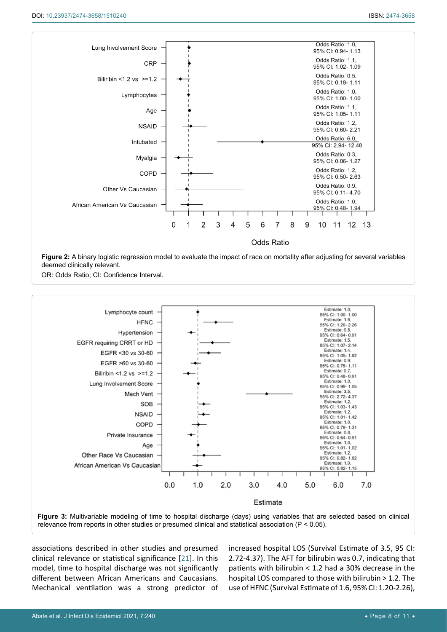<span id="page-7-0"></span>

**Figure 2:** A binary logistic regression model to evaluate the impact of race on mortality after adjusting for several variables deemed clinically relevant.

OR: Odds Ratio; CI: Confidence Interval.

<span id="page-7-1"></span>

relevance from reports in other studies or presumed clinical and statistical association (P < 0.05).

associations described in other studies and presumed clinical relevance or statistical significance [[21](#page-10-1)]. In this model, time to hospital discharge was not significantly different between African Americans and Caucasians. Mechanical ventilation was a strong predictor of increased hospital LOS (Survival Estimate of 3.5, 95 CI: 2.72-4.37). The AFT for bilirubin was 0.7, indicating that patients with bilirubin < 1.2 had a 30% decrease in the hospital LOS compared to those with bilirubin > 1.2. The use of HFNC (Survival Estimate of 1.6, 95% CI: 1.20-2.26),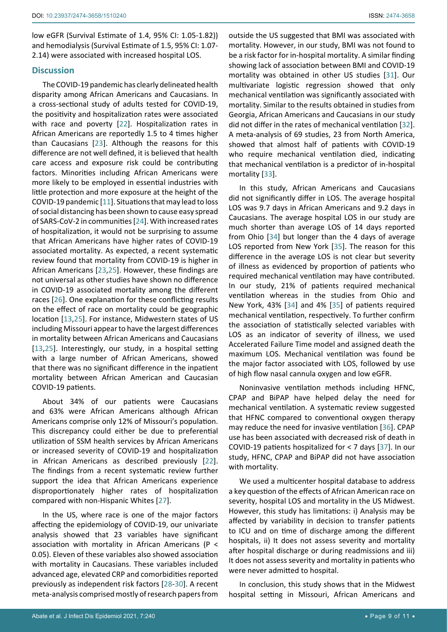low eGFR (Survival Estimate of 1.4, 95% CI: 1.05-1.82)) and hemodialysis (Survival Estimate of 1.5, 95% CI: 1.07- 2.14) were associated with increased hospital LOS.

#### **Discussion**

The COVID-19 pandemic has clearly delineated health disparity among African Americans and Caucasians. In a cross-sectional study of adults tested for COVID-19, the positivity and hospitalization rates were associated with race and poverty [[22](#page-10-9)]. Hospitalization rates in African Americans are reportedly 1.5 to 4 times higher than Caucasians [\[23](#page-10-10)]. Although the reasons for this difference are not well defined, it is believed that health care access and exposure risk could be contributing factors. Minorities including African Americans were more likely to be employed in essential industries with little protection and more exposure at the height of the COVID-19 pandemic [[11](#page-9-9)]. Situations that may lead to loss of social distancing has been shown to cause easy spread of SARS-CoV-2 in communities [[24\]](#page-10-11). With increased rates of hospitalization, it would not be surprising to assume that African Americans have higher rates of COVID-19 associated mortality. As expected, a recent systematic review found that mortality from COVID-19 is higher in African Americans [\[23](#page-10-10),[25](#page-10-12)]. However, these findings are not universal as other studies have shown no difference in COVID-19 associated mortality among the different races [\[26](#page-10-13)]. One explanation for these conflicting results on the effect of race on mortality could be geographic location [[13](#page-9-11),[25\]](#page-10-12). For instance, Midwestern states of US including Missouri appear to have the largest differences in mortality between African Americans and Caucasians [[13](#page-9-11),[25\]](#page-10-12). Interestingly, our study, in a hospital setting with a large number of African Americans, showed that there was no significant difference in the inpatient mortality between African American and Caucasian COVID-19 patients.

About 34% of our patients were Caucasians and 63% were African Americans although African Americans comprise only 12% of Missouri's population. This discrepancy could either be due to preferential utilization of SSM health services by African Americans or increased severity of COVID-19 and hospitalization in African Americans as described previously [[22](#page-10-9)]. The findings from a recent systematic review further support the idea that African Americans experience disproportionately higher rates of hospitalization compared with non-Hispanic Whites [[27](#page-10-14)].

In the US, where race is one of the major factors affecting the epidemiology of COVID-19, our univariate analysis showed that 23 variables have significant association with mortality in African Americans (P < 0.05). Eleven of these variables also showed association with mortality in Caucasians. These variables included advanced age, elevated CRP and comorbidities reported previously as independent risk factors [\[28](#page-10-15)-[30](#page-10-16)]. A recent meta-analysis comprised mostly of research papers from

outside the US suggested that BMI was associated with mortality. However, in our study, BMI was not found to be a risk factor for in-hospital mortality. A similar finding showing lack of association between BMI and COVID-19 mortality was obtained in other US studies [\[31](#page-10-2)]. Our multivariate logistic regression showed that only mechanical ventilation was significantly associated with mortality. Similar to the results obtained in studies from Georgia, African Americans and Caucasians in our study did not differ in the rates of mechanical ventilation [\[32](#page-10-3)]. A meta-analysis of 69 studies, 23 from North America, showed that almost half of patients with COVID-19 who require mechanical ventilation died, indicating that mechanical ventilation is a predictor of in-hospital mortality [[33](#page-10-4)].

In this study, African Americans and Caucasians did not significantly differ in LOS. The average hospital LOS was 9.7 days in African Americans and 9.2 days in Caucasians. The average hospital LOS in our study are much shorter than average LOS of 14 days reported from Ohio [[34\]](#page-10-5) but longer than the 4 days of average LOS reported from New York [[35\]](#page-10-6). The reason for this difference in the average LOS is not clear but severity of illness as evidenced by proportion of patients who required mechanical ventilation may have contributed. In our study, 21% of patients required mechanical ventilation whereas in the studies from Ohio and New York, 43% [\[34](#page-10-5)] and 4% [\[35](#page-10-6)] of patients required mechanical ventilation, respectively. To further confirm the association of statistically selected variables with LOS as an indicator of severity of illness, we used Accelerated Failure Time model and assigned death the maximum LOS. Mechanical ventilation was found be the major factor associated with LOS, followed by use of high flow nasal cannula oxygen and low eGFR.

Noninvasive ventilation methods including HFNC, CPAP and BiPAP have helped delay the need for mechanical ventilation. A systematic review suggested that HFNC compared to conventional oxygen therapy may reduce the need for invasive ventilation [\[36\]](#page-10-7). CPAP use has been associated with decreased risk of death in COVID-19 patients hospitalized for < 7 days [[37](#page-10-8)]. In our study, HFNC, CPAP and BiPAP did not have association with mortality.

We used a multicenter hospital database to address a key question of the effects of African American race on severity, hospital LOS and mortality in the US Midwest. However, this study has limitations: i) Analysis may be affected by variability in decision to transfer patients to ICU and on time of discharge among the different hospitals, ii) It does not assess severity and mortality after hospital discharge or during readmissions and iii) It does not assess severity and mortality in patients who were never admitted to hospital.

In conclusion, this study shows that in the Midwest hospital setting in Missouri, African Americans and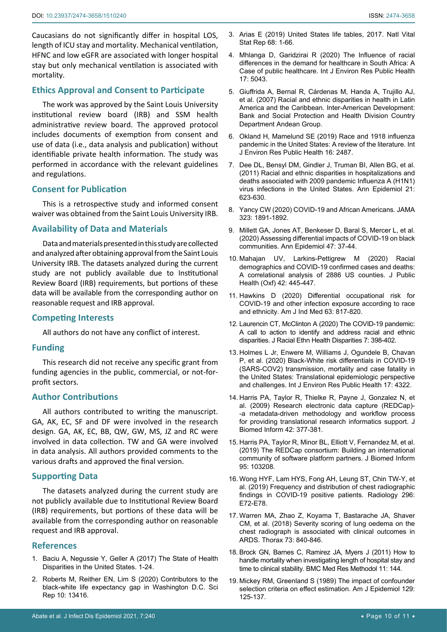Caucasians do not significantly differ in hospital LOS, length of ICU stay and mortality. Mechanical ventilation, HFNC and low eGFR are associated with longer hospital stay but only mechanical ventilation is associated with mortality.

## **Ethics Approval and Consent to Participate**

The work was approved by the Saint Louis University institutional review board (IRB) and SSM health administrative review board. The approved protocol includes documents of exemption from consent and use of data (i.e., data analysis and publication) without identifiable private health information. The study was performed in accordance with the relevant guidelines and regulations.

## **Consent for Publication**

This is a retrospective study and informed consent waiver was obtained from the Saint Louis University IRB.

## **Availability of Data and Materials**

Data and materials presented in this study are collected and analyzed after obtaining approval from the Saint Louis University IRB. The datasets analyzed during the current study are not publicly available due to Institutional Review Board (IRB) requirements, but portions of these data will be available from the corresponding author on reasonable request and IRB approval.

## **Competing Interests**

All authors do not have any conflict of interest.

## **Funding**

This research did not receive any specific grant from funding agencies in the public, commercial, or not-forprofit sectors.

## **Author Contributions**

All authors contributed to writing the manuscript. GA, AK, EC, SF and DF were involved in the research design. GA, AK, EC, BB, QW, GW, MS, JZ and RC were involved in data collection. TW and GA were involved in data analysis. All authors provided comments to the various drafts and approved the final version.

## **Supporting Data**

The datasets analyzed during the current study are not publicly available due to Institutional Review Board (IRB) requirements, but portions of these data will be available from the corresponding author on reasonable request and IRB approval.

## **References**

- <span id="page-9-0"></span>1. [Baciu A, Negussie Y, Geller A \(2017\) The State of Health](https://www.ncbi.nlm.nih.gov/books/NBK425844/)  [Disparities in the United States. 1-24.](https://www.ncbi.nlm.nih.gov/books/NBK425844/)
- <span id="page-9-1"></span>2. [Roberts M, Reither EN, Lim S \(2020\) Contributors to the](https://www.nature.com/articles/s41598-020-70046-6)  [black-white life expectancy gap in Washington D.C. Sci](https://www.nature.com/articles/s41598-020-70046-6)  [Rep 10: 13416.](https://www.nature.com/articles/s41598-020-70046-6)
- 3. [Arias E \(2019\) United States life tables, 2017. Natl Vital](https://pubmed.ncbi.nlm.nih.gov/32501200/)  [Stat Rep 68: 1-66.](https://pubmed.ncbi.nlm.nih.gov/32501200/)
- <span id="page-9-2"></span>4. [Mhlanga D, Garidzirai R \(2020\) The Influence of racial](https://pubmed.ncbi.nlm.nih.gov/32674256/)  [differences in the demand for healthcare in South Africa: A](https://pubmed.ncbi.nlm.nih.gov/32674256/)  [Case of public healthcare. Int J Environ Res Public Health](https://pubmed.ncbi.nlm.nih.gov/32674256/)  [17: 5043.](https://pubmed.ncbi.nlm.nih.gov/32674256/)
- <span id="page-9-3"></span>5. [Giuffrida A, Bernal R, Cárdenas M, Handa A, Trujillo AJ,](https://publications.iadb.org/publications/english/document/Racial-and-Ethnic-Disparities-in-Health-in-Latin-America-and-the-Caribbean.pdf)  [et al. \(2007\) Racial and ethnic disparities in health in Latin](https://publications.iadb.org/publications/english/document/Racial-and-Ethnic-Disparities-in-Health-in-Latin-America-and-the-Caribbean.pdf)  [America and the Caribbean. Inter-American Development:](https://publications.iadb.org/publications/english/document/Racial-and-Ethnic-Disparities-in-Health-in-Latin-America-and-the-Caribbean.pdf)  [Bank and Social Protection and Health Division Country](https://publications.iadb.org/publications/english/document/Racial-and-Ethnic-Disparities-in-Health-in-Latin-America-and-the-Caribbean.pdf)  [Department Andean Group.](https://publications.iadb.org/publications/english/document/Racial-and-Ethnic-Disparities-in-Health-in-Latin-America-and-the-Caribbean.pdf)
- <span id="page-9-4"></span>6. [Okland H, Mamelund SE \(2019\) Race and 1918 influenza](https://www.ncbi.nlm.nih.gov/pmc/articles/PMC6678782/)  [pandemic in the United States: A review of the literature. Int](https://www.ncbi.nlm.nih.gov/pmc/articles/PMC6678782/)  [J Environ Res Public Health 16: 2487.](https://www.ncbi.nlm.nih.gov/pmc/articles/PMC6678782/)
- <span id="page-9-5"></span>7. [Dee DL, Bensyl DM, Gindler J, Truman BI, Allen BG, et al.](https://pubmed.ncbi.nlm.nih.gov/21737049/)  [\(2011\) Racial and ethnic disparities in hospitalizations and](https://pubmed.ncbi.nlm.nih.gov/21737049/)  [deaths associated with 2009 pandemic Influenza A \(H1N1\)](https://pubmed.ncbi.nlm.nih.gov/21737049/)  [virus infections in the United States. Ann Epidemiol 21:](https://pubmed.ncbi.nlm.nih.gov/21737049/)  [623-630.](https://pubmed.ncbi.nlm.nih.gov/21737049/)
- <span id="page-9-6"></span>8. [Yancy CW \(2020\) COVID-19 and African Americans. JAMA](https://pubmed.ncbi.nlm.nih.gov/32293639/)  [323: 1891-1892.](https://pubmed.ncbi.nlm.nih.gov/32293639/)
- <span id="page-9-7"></span>9. [Millett GA, Jones AT, Benkeser D, Baral S, Mercer L, et al.](https://pubmed.ncbi.nlm.nih.gov/32419766/)  [\(2020\) Assessing differential impacts of COVID-19 on black](https://pubmed.ncbi.nlm.nih.gov/32419766/)  [communities. Ann Epidemiol 47: 37-44.](https://pubmed.ncbi.nlm.nih.gov/32419766/)
- <span id="page-9-8"></span>10. [Mahajan UV, Larkins-Pettigrew M \(2020\) Racial](https://pubmed.ncbi.nlm.nih.gov/32435809/)  [demographics and COVID-19 confirmed cases and deaths:](https://pubmed.ncbi.nlm.nih.gov/32435809/)  [A correlational analysis of 2886 US counties. J Public](https://pubmed.ncbi.nlm.nih.gov/32435809/)  [Health \(Oxf\) 42: 445-447.](https://pubmed.ncbi.nlm.nih.gov/32435809/)
- <span id="page-9-9"></span>11. [Hawkins D \(2020\) Differential occupational risk for](https://pubmed.ncbi.nlm.nih.gov/32539166/)  [COVID-19 and other infection exposure according to race](https://pubmed.ncbi.nlm.nih.gov/32539166/)  [and ethnicity. Am J Ind Med 63: 817-820.](https://pubmed.ncbi.nlm.nih.gov/32539166/)
- <span id="page-9-10"></span>12. [Laurencin CT, McClinton A \(2020\) The COVID-19 pandemic:](https://pubmed.ncbi.nlm.nih.gov/32306369/)  [A call to action to identify and address racial and ethnic](https://pubmed.ncbi.nlm.nih.gov/32306369/)  [disparities. J Racial Ethn Health Disparities 7: 398-402.](https://pubmed.ncbi.nlm.nih.gov/32306369/)
- <span id="page-9-11"></span>13. [Holmes L Jr, Enwere M, Williams J, Ogundele B, Chavan](https://pubmed.ncbi.nlm.nih.gov/32560363/)  [P, et al. \(2020\) Black-White risk differentials in COVID-19](https://pubmed.ncbi.nlm.nih.gov/32560363/)  [\(SARS-COV2\) transmission, mortality and case fatality in](https://pubmed.ncbi.nlm.nih.gov/32560363/)  [the United States: Translational epidemiologic perspective](https://pubmed.ncbi.nlm.nih.gov/32560363/)  [and challenges. Int J Environ Res Public Health 17: 4322.](https://pubmed.ncbi.nlm.nih.gov/32560363/)
- <span id="page-9-12"></span>14. [Harris PA, Taylor R, Thielke R, Payne J, Gonzalez N, et](https://pubmed.ncbi.nlm.nih.gov/18929686/)  [al. \(2009\) Research electronic data capture \(REDCap\)-](https://pubmed.ncbi.nlm.nih.gov/18929686/) [-a metadata-driven methodology and workflow process](https://pubmed.ncbi.nlm.nih.gov/18929686/)  [for providing translational research informatics support. J](https://pubmed.ncbi.nlm.nih.gov/18929686/)  [Biomed Inform 42: 377-381.](https://pubmed.ncbi.nlm.nih.gov/18929686/)
- <span id="page-9-13"></span>15. [Harris PA, Taylor R, Minor BL, Elliott V, Fernandez M, et al.](https://pubmed.ncbi.nlm.nih.gov/31078660/)  [\(2019\) The REDCap consortium: Building an international](https://pubmed.ncbi.nlm.nih.gov/31078660/)  [community of software platform partners. J Biomed Inform](https://pubmed.ncbi.nlm.nih.gov/31078660/)  [95: 103208.](https://pubmed.ncbi.nlm.nih.gov/31078660/)
- <span id="page-9-14"></span>16. [Wong HYF, Lam HYS, Fong AH, Leung ST, Chin TW-Y, et](https://pubmed.ncbi.nlm.nih.gov/32216717/)  [al. \(2019\) Frequency and distribution of chest radiographic](https://pubmed.ncbi.nlm.nih.gov/32216717/)  [findings in COVID-19 positive patients. Radiology 296:](https://pubmed.ncbi.nlm.nih.gov/32216717/)  [E72-E78.](https://pubmed.ncbi.nlm.nih.gov/32216717/)
- <span id="page-9-15"></span>17. [Warren MA, Zhao Z, Koyama T, Bastarache JA, Shaver](https://pubmed.ncbi.nlm.nih.gov/29903755/)  [CM, et al. \(2018\) Severity scoring of lung oedema on the](https://pubmed.ncbi.nlm.nih.gov/29903755/)  [chest radiograph is associated with clinical outcomes in](https://pubmed.ncbi.nlm.nih.gov/29903755/)  [ARDS. Thorax 73: 840-846.](https://pubmed.ncbi.nlm.nih.gov/29903755/)
- <span id="page-9-16"></span>18. [Brock GN, Barnes C, Ramirez JA, Myers J \(2011\) How to](https://pubmed.ncbi.nlm.nih.gov/22029846/)  [handle mortality when investigating length of hospital stay and](https://pubmed.ncbi.nlm.nih.gov/22029846/)  [time to clinical stability. BMC Med Res Methodol 11: 144.](https://pubmed.ncbi.nlm.nih.gov/22029846/)
- <span id="page-9-17"></span>19. [Mickey RM, Greenland S \(1989\) The impact of confounder](https://pubmed.ncbi.nlm.nih.gov/2910056/)  [selection criteria on effect estimation. Am J Epidemiol 129:](https://pubmed.ncbi.nlm.nih.gov/2910056/)  [125-137.](https://pubmed.ncbi.nlm.nih.gov/2910056/)